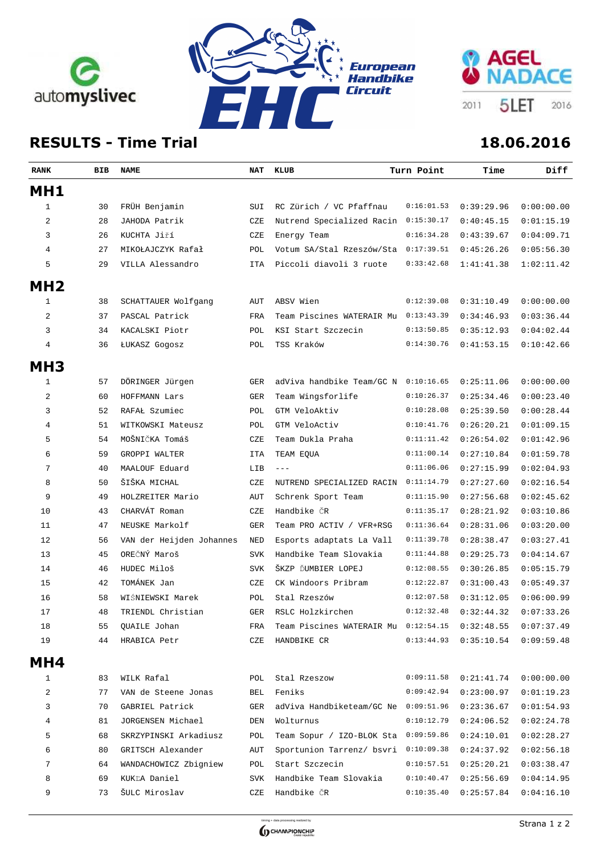





## **RESULTS - Time Trial 18.06.2016**

| <b>RANK</b>     | BIB | NAME                     | NAT        | KLUB                                 | Turn Point | Time       | Diff       |
|-----------------|-----|--------------------------|------------|--------------------------------------|------------|------------|------------|
| MH1             |     |                          |            |                                      |            |            |            |
| 1               | 30  | FRÜH Benjamin            | SUI        | RC Zürich / VC Pfaffnau              | 0:16:01.53 | 0:39:29.96 | 0:00:00.00 |
| 2               | 28  | JAHODA Patrik            | CZE        | Nutrend Specialized Racin            | 0:15:30.17 | 0:40:45.15 | 0:01:15.19 |
| 3               | 26  | KUCHTA Jiří              | CZE        | Energy Team                          | 0:16:34.28 | 0:43:39.67 | 0:04:09.71 |
| 4               | 27  | MIKOŁAJCZYK Rafał        | POL        | Votum SA/Stal Rzeszów/Sta            | 0:17:39.51 | 0:45:26.26 | 0:05:56.30 |
| 5               | 29  | VILLA Alessandro         | ITA        | Piccoli diavoli 3 ruote              | 0:33:42.68 | 1:41:41.38 | 1:02:11.42 |
| MH <sub>2</sub> |     |                          |            |                                      |            |            |            |
| 1               | 38  | SCHATTAUER Wolfgang      | AUT        | ABSV Wien                            | 0:12:39.08 | 0:31:10.49 | 0:00:00.00 |
| 2               | 37  | PASCAL Patrick           | FRA        | Team Piscines WATERAIR Mu            | 0:13:43.39 | 0:34:46.93 | 0:03:36.44 |
| 3               | 34  | KACALSKI Piotr           | POL        | KSI Start Szczecin                   | 0:13:50.85 | 0:35:12.93 | 0:04:02.44 |
| 4               | 36  | ŁUKASZ Gogosz            | POL        | TSS Kraków                           | 0:14:30.76 | 0:41:53.15 | 0:10:42.66 |
|                 |     |                          |            |                                      |            |            |            |
| MH <sub>3</sub> |     |                          |            |                                      |            |            |            |
| 1               | 57  | DÖRINGER Jürgen          | <b>GER</b> | adViva handbike Team/GC N            | 0:10:16.65 | 0:25:11.06 | 0:00:00.00 |
| 2               | 60  | HOFFMANN Lars            | <b>GER</b> | Team Wingsforlife                    | 0:10:26.37 | 0:25:34.46 | 0:00:23.40 |
| 3               | 52  | RAFAŁ Szumiec            | POL        | GTM VeloAktiv                        | 0:10:28.08 | 0:25:39.50 | 0:00:28.44 |
| 4               | 51  | WITKOWSKI Mateusz        | POL        | GTM VeloActiv                        | 0:10:41.76 | 0:26:20.21 | 0:01:09.15 |
| 5               | 54  | MOŠNIČKA Tomáš           | CZE        | Team Dukla Praha                     | 0:11:11.42 | 0:26:54.02 | 0:01:42.96 |
| 6               | 59  | GROPPI WALTER            | <b>ITA</b> | TEAM EQUA                            | 0:11:00.14 | 0:27:10.84 | 0:01:59.78 |
| 7               | 40  | MAALOUF Eduard           | LIB        | $  -$                                | 0:11:06.06 | 0:27:15.99 | 0:02:04.93 |
| 8               | 50  | ŠIŠKA MICHAL             | CZE        | NUTREND SPECIALIZED RACIN            | 0:11:14.79 | 0:27:27.60 | 0:02:16.54 |
| 9               | 49  | HOLZREITER Mario         | AUT        | Schrenk Sport Team                   | 0:11:15.90 | 0:27:56.68 | 0:02:45.62 |
| 10              | 43  | CHARVÁT Roman            | CZE        | Handbike ČR                          | 0:11:35.17 | 0:28:21.92 | 0:03:10.86 |
| 11              | 47  | NEUSKE Markolf           | <b>GER</b> | Team PRO ACTIV / VFR+RSG             | 0:11:36.64 | 0:28:31.06 | 0:03:20.00 |
| 12              | 56  | VAN der Heijden Johannes | NED        | Esports adaptats La Vall             | 0:11:39.78 | 0:28:38.47 | 0:03:27.41 |
| 13              | 45  | OREČNÝ Maroš             | <b>SVK</b> | Handbike Team Slovakia               | 0:11:44.88 | 0:29:25.73 | 0:04:14.67 |
| 14              | 46  | HUDEC Miloš              | <b>SVK</b> | ŠKZP ĎUMBIER LOPEJ                   | 0:12:08.55 | 0:30:26.85 | 0:05:15.79 |
| 15              | 42  | TOMÁNEK Jan              | CZE        | CK Windoors Pribram                  | 0:12:22.87 | 0:31:00.43 | 0:05:49.37 |
| 16              | 58  | WIŚNIEWSKI Marek         | POL        | Stal Rzeszów                         | 0:12:07.58 | 0:31:12.05 | 0:06:00.99 |
| 17              | 48  | TRIENDL Christian        | <b>GER</b> | RSLC Holzkirchen                     | 0:12:32.48 | 0:32:44.32 | 0:07:33.26 |
| 18              | 55  | QUAILE Johan             | FRA        | Team Piscines WATERAIR Mu 0:12:54.15 |            | 0:32:48.55 | 0:07:37.49 |
| 19              | 44  | HRABICA Petr             | CZE        | HANDBIKE CR                          | 0:13:44.93 | 0:35:10.54 | 0:09:59.48 |
| MH4             |     |                          |            |                                      |            |            |            |
| 1               | 83  | WILK Rafal               | POL        | Stal Rzeszow                         | 0:09:11.58 | 0:21:41.74 | 0:00:00.00 |
| 2               | 77  | VAN de Steene Jonas      | BEL        | Feniks                               | 0:09:42.94 | 0:23:00.97 | 0:01:19.23 |
| 3               | 70  | GABRIEL Patrick          | GER        | adViva Handbiketeam/GC Ne            | 0:09:51.96 | 0:23:36.67 | 0:01:54.93 |
| 4               | 81  | JORGENSEN Michael        | DEN        | Wolturnus                            | 0:10:12.79 | 0:24:06.52 | 0:02:24.78 |
| 5               | 68  | SKRZYPINSKI Arkadiusz    | POL        | Team Sopur / IZO-BLOK Sta            | 0:09:59.86 | 0:24:10.01 | 0:02:28.27 |
| 6               | 80  | GRITSCH Alexander        | AUT        | Sportunion Tarrenz/ bsvri            | 0:10:09.38 | 0:24:37.92 | 0:02:56.18 |
| 7               | 64  | WANDACHOWICZ Zbigniew    | POL        | Start Szczecin                       | 0:10:57.51 | 0:25:20.21 | 0:03:38.47 |
| 8               | 69  | KUKĽA Daniel             | SVK        | Handbike Team Slovakia               | 0:10:40.47 | 0:25:56.69 | 0:04:14.95 |
| 9               | 73  | ŠULC Miroslav            | CZE        | Handbike ČR                          | 0:10:35.40 | 0:25:57.84 | 0:04:16.10 |
|                 |     |                          |            |                                      |            |            |            |